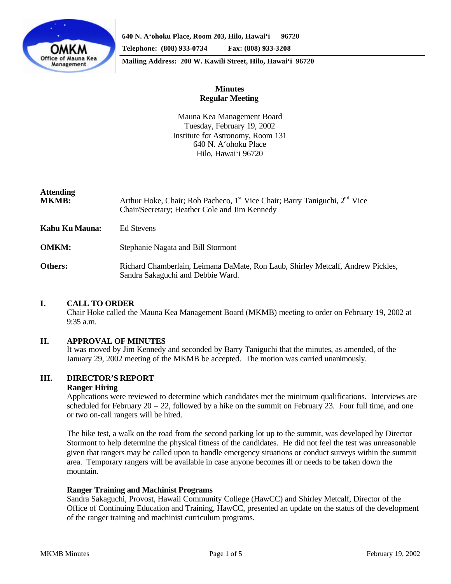

**640 N. A'ohoku Place, Room 203, Hilo, Hawai'i 96720 Telephone: (808) 933-0734 Fax: (808) 933-3208**

**Mailing Address: 200 W. Kawili Street, Hilo, Hawai'i 96720**

# **Minutes Regular Meeting**

Mauna Kea Management Board Tuesday, February 19, 2002 Institute for Astronomy, Room 131 640 N. A'ohoku Place Hilo, Hawai'i 96720

# **Attending**

| <b>MKMB:</b>   | Arthur Hoke, Chair; Rob Pacheco, 1 <sup>st</sup> Vice Chair; Barry Taniguchi, 2 <sup>nd</sup> Vice<br>Chair/Secretary; Heather Cole and Jim Kennedy |
|----------------|-----------------------------------------------------------------------------------------------------------------------------------------------------|
| Kahu Ku Mauna: | Ed Stevens                                                                                                                                          |
| <b>OMKM:</b>   | Stephanie Nagata and Bill Stormont                                                                                                                  |
| Others:        | Richard Chamberlain, Leimana DaMate, Ron Laub, Shirley Metcalf, Andrew Pickles,<br>Sandra Sakaguchi and Debbie Ward.                                |

# **I. CALL TO ORDER**

Chair Hoke called the Mauna Kea Management Board (MKMB) meeting to order on February 19, 2002 at 9:35 a.m.

# **II. APPROVAL OF MINUTES**

It was moved by Jim Kennedy and seconded by Barry Taniguchi that the minutes, as amended, of the January 29, 2002 meeting of the MKMB be accepted. The motion was carried unanimously.

# **III. DIRECTOR'S REPORT**

# **Ranger Hiring**

Applications were reviewed to determine which candidates met the minimum qualifications. Interviews are scheduled for February 20 – 22, followed by a hike on the summit on February 23. Four full time, and one or two on-call rangers will be hired.

The hike test, a walk on the road from the second parking lot up to the summit, was developed by Director Stormont to help determine the physical fitness of the candidates. He did not feel the test was unreasonable given that rangers may be called upon to handle emergency situations or conduct surveys within the summit area. Temporary rangers will be available in case anyone becomes ill or needs to be taken down the mountain.

# **Ranger Training and Machinist Programs**

Sandra Sakaguchi, Provost, Hawaii Community College (HawCC) and Shirley Metcalf, Director of the Office of Continuing Education and Training, HawCC, presented an update on the status of the development of the ranger training and machinist curriculum programs.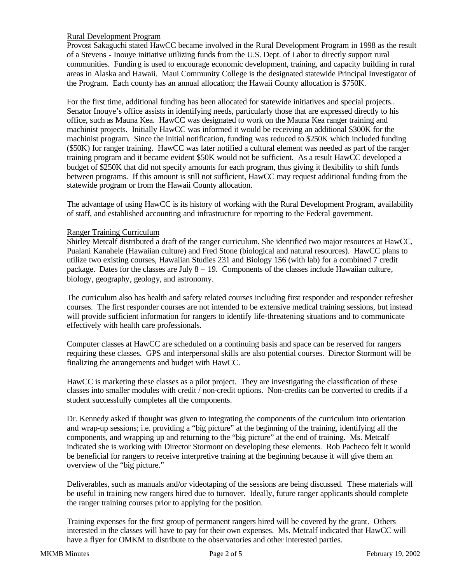# Rural Development Program

Provost Sakaguchi stated HawCC became involved in the Rural Development Program in 1998 as the result of a Stevens - Inouye initiative utilizing funds from the U.S. Dept. of Labor to directly support rural communities. Funding is used to encourage economic development, training, and capacity building in rural areas in Alaska and Hawaii. Maui Community College is the designated statewide Principal Investigator of the Program. Each county has an annual allocation; the Hawaii County allocation is \$750K.

For the first time, additional funding has been allocated for statewide initiatives and special projects.. Senator Inouye's office assists in identifying needs, particularly those that are expressed directly to his office, such as Mauna Kea. HawCC was designated to work on the Mauna Kea ranger training and machinist projects. Initially HawCC was informed it would be receiving an additional \$300K for the machinist program. Since the initial notification, funding was reduced to \$250K which included funding (\$50K) for ranger training. HawCC was later notified a cultural element was needed as part of the ranger training program and it became evident \$50K would not be sufficient. As a result HawCC developed a budget of \$250K that did not specify amounts for each program, thus giving it flexibility to shift funds between programs. If this amount is still not sufficient, HawCC may request additional funding from the statewide program or from the Hawaii County allocation.

The advantage of using HawCC is its history of working with the Rural Development Program, availability of staff, and established accounting and infrastructure for reporting to the Federal government.

# Ranger Training Curriculum

Shirley Metcalf distributed a draft of the ranger curriculum. She identified two major resources at HawCC, Pualani Kanahele (Hawaiian culture) and Fred Stone (biological and natural resources). HawCC plans to utilize two existing courses, Hawaiian Studies 231 and Biology 156 (with lab) for a combined 7 credit package. Dates for the classes are July 8 – 19. Components of the classes include Hawaiian culture, biology, geography, geology, and astronomy.

The curriculum also has health and safety related courses including first responder and responder refresher courses. The first responder courses are not intended to be extensive medical training sessions, but instead will provide sufficient information for rangers to identify life-threatening situations and to communicate effectively with health care professionals.

Computer classes at HawCC are scheduled on a continuing basis and space can be reserved for rangers requiring these classes. GPS and interpersonal skills are also potential courses. Director Stormont will be finalizing the arrangements and budget with HawCC.

HawCC is marketing these classes as a pilot project. They are investigating the classification of these classes into smaller modules with credit / non-credit options. Non-credits can be converted to credits if a student successfully completes all the components.

Dr. Kennedy asked if thought was given to integrating the components of the curriculum into orientation and wrap-up sessions; i.e. providing a "big picture" at the beginning of the training, identifying all the components, and wrapping up and returning to the "big picture" at the end of training. Ms. Metcalf indicated she is working with Director Stormont on developing these elements. Rob Pacheco felt it would be beneficial for rangers to receive interpretive training at the beginning because it will give them an overview of the "big picture."

Deliverables, such as manuals and/or videotaping of the sessions are being discussed. These materials will be useful in training new rangers hired due to turnover. Ideally, future ranger applicants should complete the ranger training courses prior to applying for the position.

Training expenses for the first group of permanent rangers hired will be covered by the grant. Others interested in the classes will have to pay for their own expenses. Ms. Metcalf indicated that HawCC will have a flyer for OMKM to distribute to the observatories and other interested parties.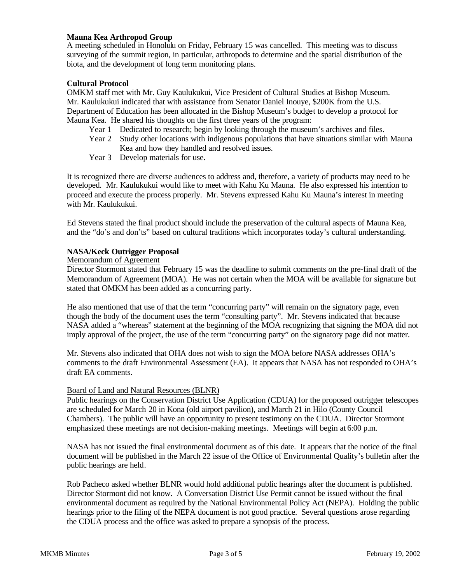# **Mauna Kea Arthropod Group**

A meeting scheduled in Honolulu on Friday, February 15 was cancelled. This meeting was to discuss surveying of the summit region, in particular, arthropods to determine and the spatial distribution of the biota, and the development of long term monitoring plans.

# **Cultural Protocol**

OMKM staff met with Mr. Guy Kaulukukui, Vice President of Cultural Studies at Bishop Museum. Mr. Kaulukukui indicated that with assistance from Senator Daniel Inouye, \$200K from the U.S. Department of Education has been allocated in the Bishop Museum's budget to develop a protocol for Mauna Kea. He shared his thoughts on the first three years of the program:

- Year 1 Dedicated to research; begin by looking through the museum's archives and files.
- Year 2 Study other locations with indigenous populations that have situations similar with Mauna Kea and how they handled and resolved issues.
- Year 3 Develop materials for use.

It is recognized there are diverse audiences to address and, therefore, a variety of products may need to be developed. Mr. Kaulukukui would like to meet with Kahu Ku Mauna. He also expressed his intention to proceed and execute the process properly. Mr. Stevens expressed Kahu Ku Mauna's interest in meeting with Mr. Kaulukukui.

Ed Stevens stated the final product should include the preservation of the cultural aspects of Mauna Kea, and the "do's and don'ts" based on cultural traditions which incorporates today's cultural understanding.

# **NASA/Keck Outrigger Proposal**

# Memorandum of Agreement

Director Stormont stated that February 15 was the deadline to submit comments on the pre-final draft of the Memorandum of Agreement (MOA). He was not certain when the MOA will be available for signature but stated that OMKM has been added as a concurring party.

He also mentioned that use of that the term "concurring party" will remain on the signatory page, even though the body of the document uses the term "consulting party". Mr. Stevens indicated that because NASA added a "whereas" statement at the beginning of the MOA recognizing that signing the MOA did not imply approval of the project, the use of the term "concurring party" on the signatory page did not matter.

Mr. Stevens also indicated that OHA does not wish to sign the MOA before NASA addresses OHA's comments to the draft Environmental Assessment (EA). It appears that NASA has not responded to OHA's draft EA comments.

# Board of Land and Natural Resources (BLNR)

Public hearings on the Conservation District Use Application (CDUA) for the proposed outrigger telescopes are scheduled for March 20 in Kona (old airport pavilion), and March 21 in Hilo (County Council Chambers). The public will have an opportunity to present testimony on the CDUA. Director Stormont emphasized these meetings are not decision-making meetings. Meetings will begin at 6:00 p.m.

NASA has not issued the final environmental document as of this date. It appears that the notice of the final document will be published in the March 22 issue of the Office of Environmental Quality's bulletin after the public hearings are held.

Rob Pacheco asked whether BLNR would hold additional public hearings after the document is published. Director Stormont did not know. A Conversation District Use Permit cannot be issued without the final environmental document as required by the National Environmental Policy Act (NEPA). Holding the public hearings prior to the filing of the NEPA document is not good practice. Several questions arose regarding the CDUA process and the office was asked to prepare a synopsis of the process.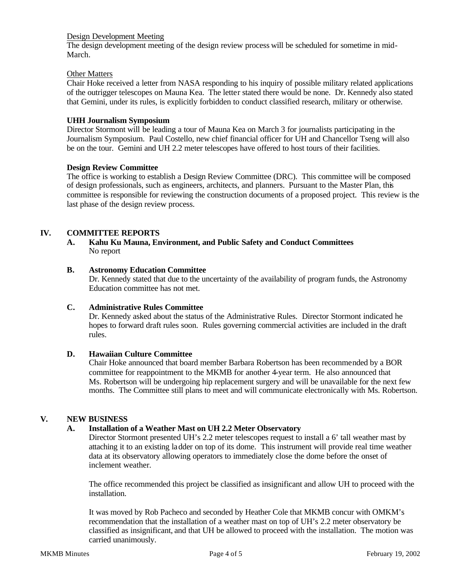#### Design Development Meeting

The design development meeting of the design review process will be scheduled for sometime in mid-March.

### Other Matters

Chair Hoke received a letter from NASA responding to his inquiry of possible military related applications of the outrigger telescopes on Mauna Kea. The letter stated there would be none. Dr. Kennedy also stated that Gemini, under its rules, is explicitly forbidden to conduct classified research, military or otherwise.

#### **UHH Journalism Symposium**

Director Stormont will be leading a tour of Mauna Kea on March 3 for journalists participating in the Journalism Symposium. Paul Costello, new chief financial officer for UH and Chancellor Tseng will also be on the tour. Gemini and UH 2.2 meter telescopes have offered to host tours of their facilities.

#### **Design Review Committee**

The office is working to establish a Design Review Committee (DRC). This committee will be composed of design professionals, such as engineers, architects, and planners. Pursuant to the Master Plan, this committee is responsible for reviewing the construction documents of a proposed project. This review is the last phase of the design review process.

# **IV. COMMITTEE REPORTS**

#### **A. Kahu Ku Mauna, Environment, and Public Safety and Conduct Committees** No report

### **B. Astronomy Education Committee**

Dr. Kennedy stated that due to the uncertainty of the availability of program funds, the Astronomy Education committee has not met.

#### **C. Administrative Rules Committee**

Dr. Kennedy asked about the status of the Administrative Rules. Director Stormont indicated he hopes to forward draft rules soon. Rules governing commercial activities are included in the draft rules.

#### **D. Hawaiian Culture Committee**

Chair Hoke announced that board member Barbara Robertson has been recommended by a BOR committee for reappointment to the MKMB for another 4-year term. He also announced that Ms. Robertson will be undergoing hip replacement surgery and will be unavailable for the next few months. The Committee still plans to meet and will communicate electronically with Ms. Robertson.

# **V. NEW BUSINESS**

# **A. Installation of a Weather Mast on UH 2.2 Meter Observatory**

Director Stormont presented UH's 2.2 meter telescopes request to install a 6' tall weather mast by attaching it to an existing ladder on top of its dome. This instrument will provide real time weather data at its observatory allowing operators to immediately close the dome before the onset of inclement weather.

The office recommended this project be classified as insignificant and allow UH to proceed with the installation.

It was moved by Rob Pacheco and seconded by Heather Cole that MKMB concur with OMKM's recommendation that the installation of a weather mast on top of UH's 2.2 meter observatory be classified as insignificant, and that UH be allowed to proceed with the installation. The motion was carried unanimously.